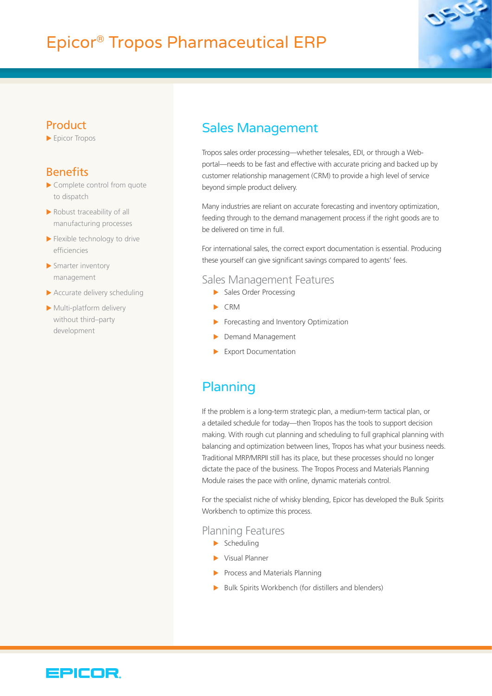# Epicor® Tropos Pharmaceutical ERP



### **Product**

 $\blacktriangleright$  Epicor Tropos

### **Benefits**

- $\blacktriangleright$  Complete control from quote to dispatch
- $\blacktriangleright$  Robust traceability of all manufacturing processes
- $\blacktriangleright$  Flexible technology to drive efficiencies
- $\blacktriangleright$  Smarter inventory management
- $\blacktriangleright$  Accurate delivery scheduling
- $\blacktriangleright$  Multi-platform delivery without third–party development

### Sales Management

Tropos sales order processing—whether telesales, EDI, or through a Webportal—needs to be fast and effective with accurate pricing and backed up by customer relationship management (CRM) to provide a high level of service beyond simple product delivery.

Many industries are reliant on accurate forecasting and inventory optimization, feeding through to the demand management process if the right goods are to be delivered on time in full.

For international sales, the correct export documentation is essential. Producing these yourself can give significant savings compared to agents' fees.

#### Sales Management Features

- $\blacktriangleright$  Sales Order Processing
- $\triangleright$  CRM
- $\blacktriangleright$  Forecasting and Inventory Optimization
- Demand Management
- $\blacktriangleright$  Export Documentation

# Planning

If the problem is a long-term strategic plan, a medium-term tactical plan, or a detailed schedule for today—then Tropos has the tools to support decision making. With rough cut planning and scheduling to full graphical planning with balancing and optimization between lines, Tropos has what your business needs. Traditional MRP/MRPII still has its place, but these processes should no longer dictate the pace of the business. The Tropos Process and Materials Planning Module raises the pace with online, dynamic materials control.

For the specialist niche of whisky blending, Epicor has developed the Bulk Spirits Workbench to optimize this process.

#### Planning Features

- $\blacktriangleright$  Scheduling
- $\blacktriangleright$  Visual Planner
- $\blacktriangleright$  Process and Materials Planning
- $\blacktriangleright$  Bulk Spirits Workbench (for distillers and blenders)

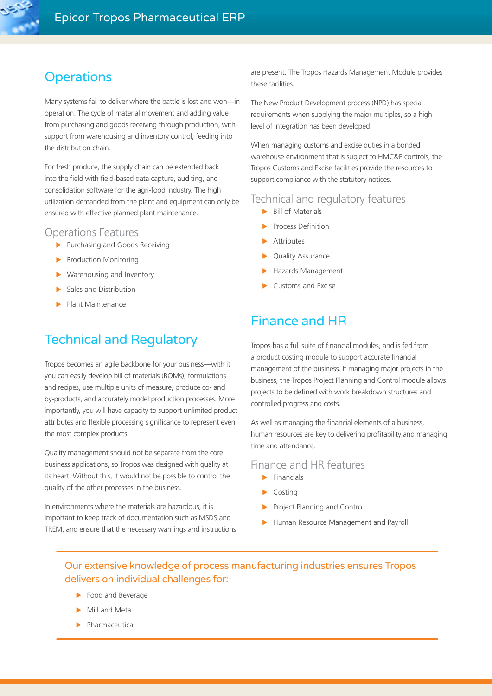### **Operations**

Many systems fail to deliver where the battle is lost and won—in operation. The cycle of material movement and adding value from purchasing and goods receiving through production, with support from warehousing and inventory control, feeding into the distribution chain.

For fresh produce, the supply chain can be extended back into the field with field-based data capture, auditing, and consolidation software for the agri-food industry. The high utilization demanded from the plant and equipment can only be ensured with effective planned plant maintenance.

#### Operations Features

- $\blacktriangleright$  Purchasing and Goods Receiving
- $\blacktriangleright$  Production Monitoring
- $\blacktriangleright$  Warehousing and Inventory
- Sales and Distribution
- Plant Maintenance

# Technical and Regulatory

Tropos becomes an agile backbone for your business—with it you can easily develop bill of materials (BOMs), formulations and recipes, use multiple units of measure, produce co- and by-products, and accurately model production processes. More importantly, you will have capacity to support unlimited product attributes and flexible processing significance to represent even the most complex products.

Quality management should not be separate from the core business applications, so Tropos was designed with quality at its heart. Without this, it would not be possible to control the quality of the other processes in the business.

In environments where the materials are hazardous, it is important to keep track of documentation such as MSDS and TREM, and ensure that the necessary warnings and instructions are present. The Tropos Hazards Management Module provides these facilities.

The New Product Development process (NPD) has special requirements when supplying the major multiples, so a high level of integration has been developed.

When managing customs and excise duties in a bonded warehouse environment that is subject to HMC&E controls, the Tropos Customs and Excise facilities provide the resources to support compliance with the statutory notices.

#### Technical and regulatory features

- $\blacktriangleright$  Bill of Materials
- $\blacktriangleright$  Process Definition
- $\blacktriangleright$  Attributes
- ▶ Quality Assurance
- $\blacktriangleright$  Hazards Management
- $\blacktriangleright$  Customs and Excise

### Finance and HR

Tropos has a full suite of financial modules, and is fed from a product costing module to support accurate financial management of the business. If managing major projects in the business, the Tropos Project Planning and Control module allows projects to be defined with work breakdown structures and controlled progress and costs.

As well as managing the financial elements of a business, human resources are key to delivering profitability and managing time and attendance.

#### Finance and HR features

- $\blacktriangleright$  Financials
- $\blacktriangleright$  Costing
- Project Planning and Control
- Human Resource Management and Payroll

### Our extensive knowledge of process manufacturing industries ensures Tropos delivers on individual challenges for:

- $\blacktriangleright$  Food and Beverage
- $\blacktriangleright$  Mill and Metal
- $\blacktriangleright$  Pharmaceutical